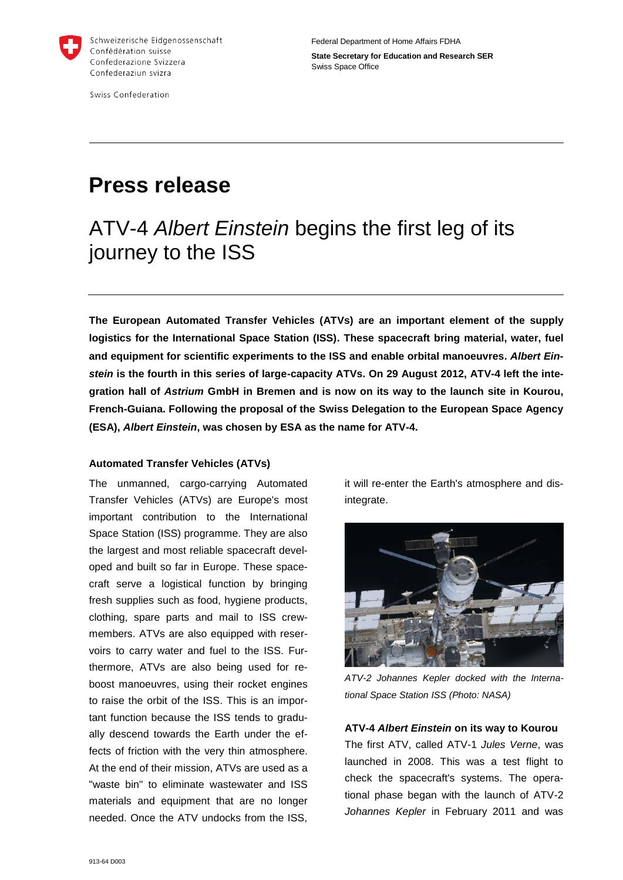

Swiss Confederation

Federal Department of Home Affairs FDHA

**State Secretary for Education and Research SER** Swiss Space Office

# **Press release**

## ATV-4 *Albert Einstein* begins the first leg of its journey to the ISS

**The European Automated Transfer Vehicles (ATVs) are an important element of the supply logistics for the International Space Station (ISS). These spacecraft bring material, water, fuel and equipment for scientific experiments to the ISS and enable orbital manoeuvres.** *Albert Einstein* **is the fourth in this series of large-capacity ATVs. On 29 August 2012, ATV-4 left the integration hall of** *Astrium* **GmbH in Bremen and is now on its way to the launch site in Kourou, French-Guiana. Following the proposal of the Swiss Delegation to the European Space Agency (ESA),** *Albert Einstein***, was chosen by ESA as the name for ATV-4.**

### **Automated Transfer Vehicles (ATVs)**

The unmanned, cargo-carrying Automated Transfer Vehicles (ATVs) are Europe's most important contribution to the International Space Station (ISS) programme. They are also the largest and most reliable spacecraft developed and built so far in Europe. These spacecraft serve a logistical function by bringing fresh supplies such as food, hygiene products, clothing, spare parts and mail to ISS crewmembers. ATVs are also equipped with reservoirs to carry water and fuel to the ISS. Furthermore, ATVs are also being used for reboost manoeuvres, using their rocket engines to raise the orbit of the ISS. This is an important function because the ISS tends to gradually descend towards the Earth under the effects of friction with the very thin atmosphere. At the end of their mission, ATVs are used as a "waste bin" to eliminate wastewater and ISS materials and equipment that are no longer needed. Once the ATV undocks from the ISS,

it will re-enter the Earth's atmosphere and disintegrate.



*ATV-2 Johannes Kepler docked with the International Space Station ISS (Photo: NASA)*

#### **ATV-4** *Albert Einstein* **on its way to Kourou**

The first ATV, called ATV-1 *Jules Verne*, was launched in 2008. This was a test flight to check the spacecraft's systems. The operational phase began with the launch of ATV-2 *Johannes Kepler* in February 2011 and was